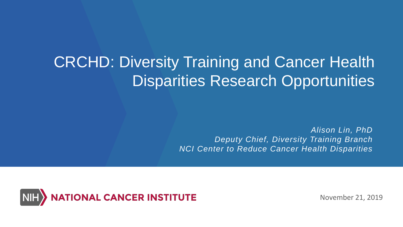# CRCHD: Diversity Training and Cancer Health Disparities Research Opportunities

*Alison Lin, PhD Deputy Chief, Diversity Training Branch NCI Center to Reduce Cancer Health Disparities*



November 21, 2019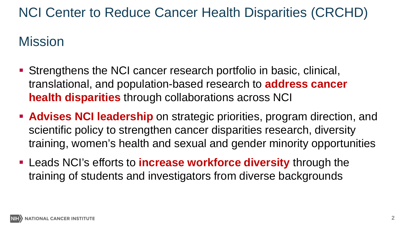## NCI Center to Reduce Cancer Health Disparities (CRCHD)

### Mission

- Strengthens the NCI cancer research portfolio in basic, clinical, translational, and population-based research to **address cancer health disparities** through collaborations across NCI
- **Advises NCI leadership** on strategic priorities, program direction, and scientific policy to strengthen cancer disparities research, diversity training, women's health and sexual and gender minority opportunities
- Leads NCI's efforts to **increase workforce diversity** through the training of students and investigators from diverse backgrounds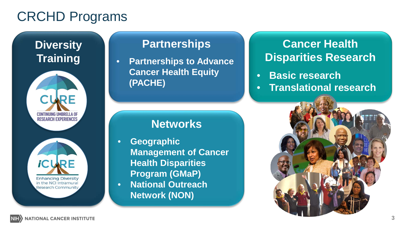## CRCHD Programs

**Diversity Training**





### **Partnerships**

• **Partnerships to Advance Cancer Health Equity (PACHE)**

### **Networks**

• **Geographic Management of Cancer Health Disparities Program (GMaP)** • **National Outreach Network (NON)**

### **Cancer Health Disparities Research**

- **Basic research**
- **Translational research**

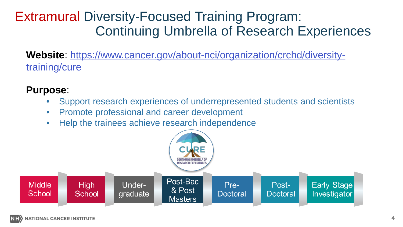## Extramural Diversity-Focused Training Program: Continuing Umbrella of Research Experiences

**Website**[: https://www.cancer.gov/about-nci/organization/crchd/diversity](https://www.cancer.gov/about-nci/organization/crchd/diversity-training/cure#pa12149)training/cure

### **Purpose**:

- Support research experiences of underrepresented students and scientists
- Promote professional and career development
- Help the trainees achieve research independence

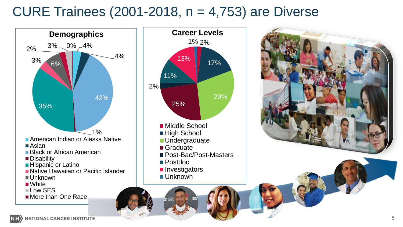## CURE Trainees (2001-2018, n = 4,753) are Diverse





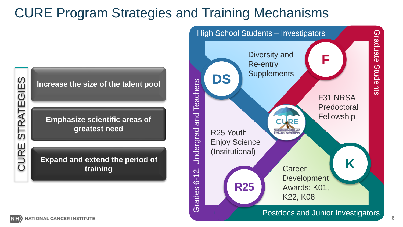## CURE Program Strategies and Training Mechanisms



**Increase the size of the talent pool**

**Emphasize scientific areas of greatest need**

**Expand and extend the period of training**

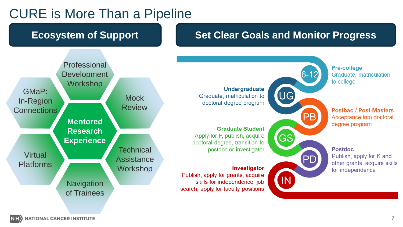## CURE is More Than a Pipeline

### **Ecosystem of Support Set Clear Goals and Monitor Progress**



**Undergraduate** Graduate, matriculation to doctoral degree program

**Graduate Student** Apply for F, publish, acquire doctoral degree, transition to postdoc or investigator

### Investigator

Publish, apply for grants, acquire skills for independence, job search, apply for faculty positions



**Pre-college** Graduate, matriculation to college

**Postbac / Post-Masters** Acceptance into doctoral degree program

### **Postdoc**

Publish, apply for K and other grants, acquire skills for independence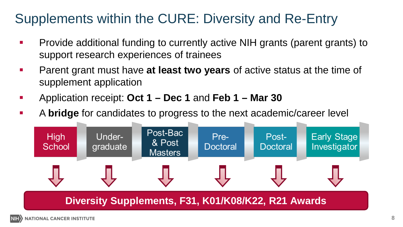## Supplements within the CURE: Diversity and Re-Entry

- **Provide additional funding to currently active NIH grants (parent grants) to** support research experiences of trainees
- **Parent grant must have at least two years** of active status at the time of supplement application
- Application receipt: **Oct 1 – Dec 1** and **Feb 1 – Mar 30**
- A **bridge** for candidates to progress to the next academic/career level



### **Diversity Supplements, F31, K01/K08/K22, R21 Awards**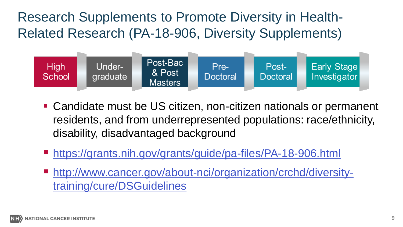Research Supplements to Promote Diversity in Health-Related Research (PA-18-906, Diversity Supplements)



- Candidate must be US citizen, non-citizen nationals or permanent residents, and from underrepresented populations: race/ethnicity, disability, disadvantaged background
- <https://grants.nih.gov/grants/guide/pa-files/PA-18-906.html>
- [http://www.cancer.gov/about-nci/organization/crchd/diversity](http://www.cancer.gov/about-nci/organization/crchd/diversity-training/cure/DSGuidelines)training/cure/DSGuidelines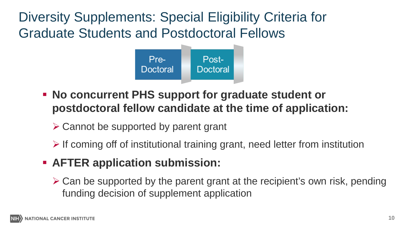Diversity Supplements: Special Eligibility Criteria for Graduate Students and Postdoctoral Fellows



- **No concurrent PHS support for graduate student or postdoctoral fellow candidate at the time of application:**
	- $\triangleright$  Cannot be supported by parent grant
	- $\triangleright$  If coming off of institutional training grant, need letter from institution
- **AFTER application submission:**
	- $\triangleright$  Can be supported by the parent grant at the recipient's own risk, pending funding decision of supplement application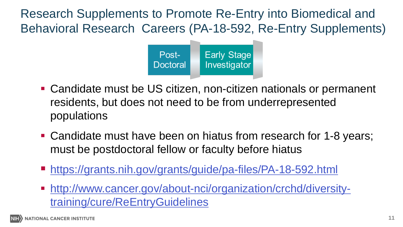Research Supplements to Promote Re-Entry into Biomedical and Behavioral Research Careers (PA-18-592, Re-Entry Supplements)



- Candidate must be US citizen, non-citizen nationals or permanent residents, but does not need to be from underrepresented populations
- Candidate must have been on hiatus from research for 1-8 years; must be postdoctoral fellow or faculty before hiatus
- [https://grants.nih.gov/grants/guide/pa-files/PA-18-592.html](https://grants.nih.gov/grants/guide/pa-files/PA-16-289.html)
- [http://www.cancer.gov/about-nci/organization/crchd/diversity](http://www.cancer.gov/about-nci/organization/crchd/diversity-training/cure/ReEntryGuidelines)training/cure/ReEntryGuidelines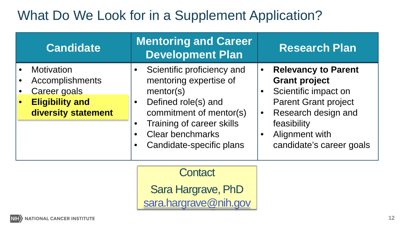## What Do We Look for in a Supplement Application?

| <b>Candidate</b>                                                                                             | <b>Mentoring and Career</b><br><b>Development Plan</b>                                                                                                                                                  |                        | <b>Research Plan</b>                                                                                                                                                                          |
|--------------------------------------------------------------------------------------------------------------|---------------------------------------------------------------------------------------------------------------------------------------------------------------------------------------------------------|------------------------|-----------------------------------------------------------------------------------------------------------------------------------------------------------------------------------------------|
| Motivation<br><b>Accomplishments</b><br><b>Career goals</b><br><b>Eligibility and</b><br>diversity statement | Scientific proficiency and<br>mentoring expertise of<br>mentor(s)<br>Defined role(s) and<br>commitment of mentor(s)<br>Training of career skills<br><b>Clear benchmarks</b><br>Candidate-specific plans | $\bullet$<br>$\bullet$ | <b>Relevancy to Parent</b><br><b>Grant project</b><br>Scientific impact on<br><b>Parent Grant project</b><br>Research design and<br>feasibility<br>Alignment with<br>candidate's career goals |

**Contact** 

Sara Hargrave, PhD [sara.hargrave@nih.gov](mailto:sara.hargrave@nih.gov)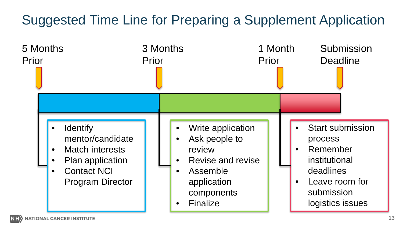## Suggested Time Line for Preparing a Supplement Application

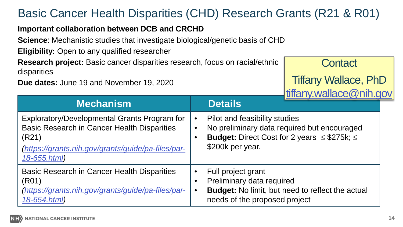### Basic Cancer Health Disparities (CHD) Research Grants (R21 & R01)

### **Important collaboration between DCB and CRCHD**

**Science**: Mechanistic studies that investigate biological/genetic basis of CHD

**Eligibility:** Open to any qualified researcher

**Research project:** Basic cancer disparities research, focus on racial/ethnic disparities

**Due dates:** June 19 and November 19, 2020

**Contact** 

Tiffany Wallace, PhD [ti](mailto:liz.Perruccio@nih.gov)[ffany.wallace@nih.gov](mailto:iffany.wallace@nih.gov)

| <b>Mechanism</b>                                                                                                                                                                  | $\frac{1}{2}$<br><b>Details</b>                                                                                                                                  |  |
|-----------------------------------------------------------------------------------------------------------------------------------------------------------------------------------|------------------------------------------------------------------------------------------------------------------------------------------------------------------|--|
| Exploratory/Developmental Grants Program for<br><b>Basic Research in Cancer Health Disparities</b><br>(R21)<br>(https://grants.nih.gov/grants/guide/pa-files/par-<br>18-655.html) | Pilot and feasibility studies<br>No preliminary data required but encouraged<br><b>Budget:</b> Direct Cost for 2 years $\leq$ \$275k; $\leq$<br>\$200k per year. |  |
| Basic Research in Cancer Health Disparities<br>(R01)<br>https://grants.nih.gov/grants/guide/pa-files/par-<br>18-654.html)                                                         | Full project grant<br>Preliminary data required<br><b>Budget:</b> No limit, but need to reflect the actual<br>needs of the proposed project                      |  |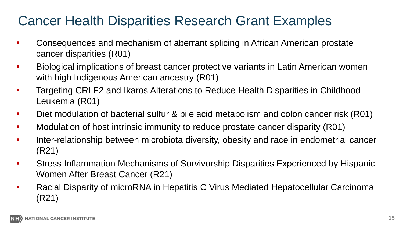## Cancer Health Disparities Research Grant Examples

- **Consequences and mechanism of aberrant splicing in African American prostate** cancer disparities (R01)
- Biological implications of breast cancer protective variants in Latin American women with high Indigenous American ancestry (R01)
- **Targeting CRLF2 and Ikaros Alterations to Reduce Health Disparities in Childhood** Leukemia (R01)
- Diet modulation of bacterial sulfur & bile acid metabolism and colon cancer risk (R01)
- **Modulation of host intrinsic immunity to reduce prostate cancer disparity (R01)**
- Inter-relationship between microbiota diversity, obesity and race in endometrial cancer (R21)
- Stress Inflammation Mechanisms of Survivorship Disparities Experienced by Hispanic Women After Breast Cancer (R21)
- Racial Disparity of microRNA in Hepatitis C Virus Mediated Hepatocellular Carcinoma (R21)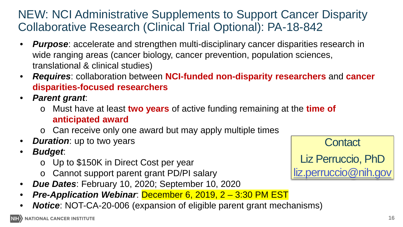### NEW: NCI Administrative Supplements to Support Cancer Disparity Collaborative Research (Clinical Trial Optional): PA-18-842

- **Purpose**: accelerate and strengthen multi-disciplinary cancer disparities research in wide ranging areas (cancer biology, cancer prevention, population sciences, translational & clinical studies)
- *Requires*: collaboration between **NCI-funded non-disparity researchers** and **cancer disparities-focused researchers**
- *Parent grant*:
	- o Must have at least **two years** of active funding remaining at the **time of anticipated award**
	- o Can receive only one award but may apply multiple times
- *Duration:* up to two years
- *Budget*:
	- o Up to \$150K in Direct Cost per year
	- o Cannot support parent grant PD/PI salary
- *Due Dates*: February 10, 2020; September 10, 2020
- *Pre-Application Webinar*: December 6, 2019, 2 3:30 PM EST
- *Notice*: NOT-CA-20-006 (expansion of eligible parent grant mechanisms)

**Contact** Liz Perruccio, PhD [liz.perruccio@nih.gov](mailto:liz.Perruccio@nih.gov)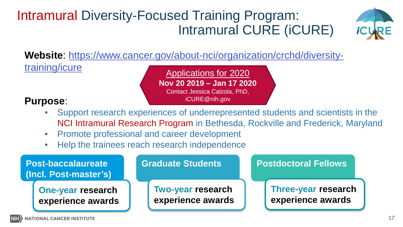## Intramural Diversity-Focused Training Program: Intramural CURE (iCURE)



**Website**[: https://www.cancer.gov/about-nci/organization/crchd/diversity](https://www.cancer.gov/about-nci/organization/crchd/diversity-training/icure)training/icure

Applications for 2020 **Nov 20 2019 – Jan 17 2020** Contact Jessica Calzola, PhD, iCURE@nih.gov

### **Purpose**:

- Support research experiences of underrepresented students and scientists in the NCI Intramural Research Program in Bethesda, Rockville and Frederick, Maryland
- Promote professional and career development
- Help the trainees reach research independence